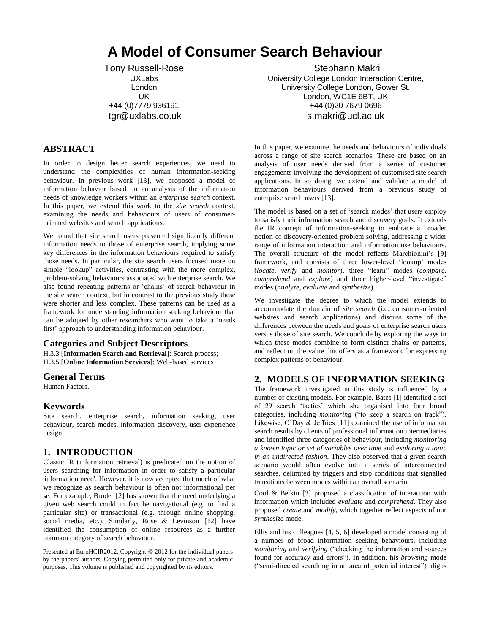# **A Model of Consumer Search Behaviour**

Tony Russell-Rose UXLabs London UK +44 (0)7779 936191 tgr@uxlabs.co.uk

Stephann Makri University College London Interaction Centre, University College London, Gower St. London, WC1E 6BT, UK +44 (0)20 7679 0696 s.makri@ucl.ac.uk

## **ABSTRACT**

In order to design better search experiences, we need to understand the complexities of human information-seeking behaviour. In previous work [13], we proposed a model of information behavior based on an analysis of the information needs of knowledge workers within an *enterprise search* context. In this paper, we extend this work to the *site search* context, examining the needs and behaviours of users of consumeroriented websites and search applications.

We found that site search users presented significantly different information needs to those of enterprise search, implying some key differences in the information behaviours required to satisfy those needs. In particular, the site search users focused more on simple "lookup" activities, contrasting with the more complex, problem-solving behaviours associated with enterprise search. We also found repeating patterns or 'chains' of search behaviour in the site search context, but in contrast to the previous study these were shorter and less complex. These patterns can be used as a framework for understanding information seeking behaviour that can be adopted by other researchers who want to take a 'needs first' approach to understanding information behaviour.

## **Categories and Subject Descriptors**

H.3.3 [**Information Search and Retrieval**]: Search process; H.3.5 [**Online Information Services**]: Web-based services

#### **General Terms**

Human Factors.

## **Keywords**

Site search, enterprise search, information seeking, user behaviour, search modes, information discovery, user experience design.

## **1. INTRODUCTION**

Classic IR (information retrieval) is predicated on the notion of users searching for information in order to satisfy a particular 'information need'. However, it is now accepted that much of what we recognize as search behaviour is often not informational per se. For example, Broder [2] has shown that the need underlying a given web search could in fact be navigational (e.g. to find a particular site) or transactional (e.g. through online shopping, social media, etc.). Similarly, Rose & Levinson [12] have identified the consumption of online resources as a further common category of search behaviour.

Presented at EuroHCIR2012. Copyright © 2012 for the individual papers by the papers' authors. Copying permitted only for private and academic purposes. This volume is published and copyrighted by its editors.

In this paper, we examine the needs and behaviours of individuals across a range of site search scenarios. These are based on an analysis of user needs derived from a series of customer engagements involving the development of customised site search applications. In so doing, we extend and validate a model of information behaviours derived from a previous study of enterprise search users [13].

The model is based on a set of 'search modes' that users employ to satisfy their information search and discovery goals. It extends the IR concept of information-seeking to embrace a broader notion of discovery-oriented problem solving, addressing a wider range of information interaction and information use behaviours. The overall structure of the model reflects Marchionini's [9] framework, and consists of three lower-level 'lookup' modes (*locate, verify* and *monitor*), three "learn" modes (*compare, comprehend* and *explore*) and three higher-level "investigate" modes (*analyze, evaluate* and *synthesize*).

We investigate the degree to which the model extends to accommodate the domain of *site search* (i.e. consumer-oriented websites and search applications) and discuss some of the differences between the needs and goals of enterprise search users versus those of site search. We conclude by exploring the ways in which these modes combine to form distinct chains or patterns, and reflect on the value this offers as a framework for expressing complex patterns of behaviour.

## **2. MODELS OF INFORMATION SEEKING**

The framework investigated in this study is influenced by a number of existing models. For example, Bates [1] identified a set of 29 search 'tactics' which she organised into four broad categories, including *monitoring* ("to keep a search on track"). Likewise, O'Day & Jeffries [11] examined the use of information search results by clients of professional information intermediaries and identified three categories of behaviour, including *monitoring a known topic or set of variables over time* and e*xploring a topic in an undirected fashion*. They also observed that a given search scenario would often evolve into a series of interconnected searches, delimited by triggers and stop conditions that signalled transitions between modes within an overall scenario.

Cool & Belkin [3] proposed a classification of interaction with information which included *evaluate* and *comprehend*. They also proposed *create* and *modify,* which together reflect aspects of our *synthesize* mode.

Ellis and his colleagues [4, 5, 6] developed a model consisting of a number of broad information seeking behaviours, including *monitoring* and *verifying* ("checking the information and sources found for accuracy and errors"). In addition, his *browsing* mode ("semi-directed searching in an area of potential interest") aligns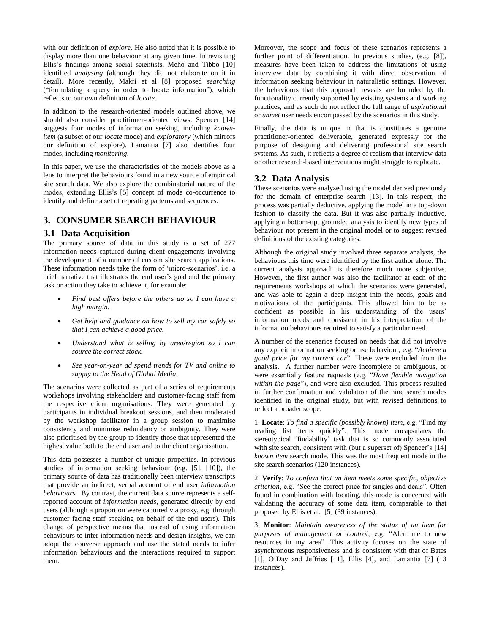with our definition of *explore*. He also noted that it is possible to display more than one behaviour at any given time. In revisiting Ellis's findings among social scientists, Meho and Tibbo [10] identified *analysing* (although they did not elaborate on it in detail). More recently, Makri et al [8] proposed *searching* ("formulating a query in order to locate information"), which reflects to our own definition of *locate*.

In addition to the research-oriented models outlined above, we should also consider practitioner-oriented views. Spencer [14] suggests four modes of information seeking, including *knownitem* (a subset of our *locate* mode) and *exploratory* (which mirrors our definition of explore). Lamantia [7] also identifies four modes, including *monitoring*.

In this paper, we use the characteristics of the models above as a lens to interpret the behaviours found in a new source of empirical site search data. We also explore the combinatorial nature of the modes, extending Ellis's [5] concept of mode co-occurrence to identify and define a set of repeating patterns and sequences.

## **3. CONSUMER SEARCH BEHAVIOUR**

#### **3.1 Data Acquisition**

The primary source of data in this study is a set of 277 information needs captured during client engagements involving the development of a number of custom site search applications. These information needs take the form of 'micro-scenarios', i.e. a brief narrative that illustrates the end user's goal and the primary task or action they take to achieve it, for example:

- *Find best offers before the others do so I can have a high margin.*
- *Get help and guidance on how to sell my car safely so that I can achieve a good price.*
- *Understand what is selling by area/region so I can source the correct stock.*
- *See year-on-year ad spend trends for TV and online to supply to the Head of Global Media.*

The scenarios were collected as part of a series of requirements workshops involving stakeholders and customer-facing staff from the respective client organisations. They were generated by participants in individual breakout sessions, and then moderated by the workshop facilitator in a group session to maximise consistency and minimise redundancy or ambiguity. They were also prioritised by the group to identify those that represented the highest value both to the end user and to the client organisation.

This data possesses a number of unique properties. In previous studies of information seeking behaviour (e.g. [5], [10]), the primary source of data has traditionally been interview transcripts that provide an indirect, verbal account of end user *information behaviours*. By contrast, the current data source represents a selfreported account of *information needs*, generated directly by end users (although a proportion were captured via proxy, e.g. through customer facing staff speaking on behalf of the end users). This change of perspective means that instead of using information behaviours to infer information needs and design insights, we can adopt the converse approach and use the stated needs to infer information behaviours and the interactions required to support them.

Moreover, the scope and focus of these scenarios represents a further point of differentiation. In previous studies, (e.g. [8]), measures have been taken to address the limitations of using interview data by combining it with direct observation of information seeking behaviour in naturalistic settings. However, the behaviours that this approach reveals are bounded by the functionality currently supported by existing systems and working practices, and as such do not reflect the full range of *aspirational* or *unmet* user needs encompassed by the scenarios in this study.

Finally, the data is unique in that is constitutes a genuine practitioner-oriented deliverable, generated expressly for the purpose of designing and delivering professional site search systems. As such, it reflects a degree of realism that interview data or other research-based interventions might struggle to replicate.

## **3.2 Data Analysis**

These scenarios were analyzed using the model derived previously for the domain of enterprise search [13]. In this respect, the process was partially deductive, applying the model in a top-down fashion to classify the data. But it was also partially inductive, applying a bottom-up, grounded analysis to identify new types of behaviour not present in the original model or to suggest revised definitions of the existing categories.

Although the original study involved three separate analysts, the behaviours this time were identified by the first author alone. The current analysis approach is therefore much more subjective. However, the first author was also the facilitator at each of the requirements workshops at which the scenarios were generated, and was able to again a deep insight into the needs, goals and motivations of the participants. This allowed him to be as confident as possible in his understanding of the users' information needs and consistent in his interpretation of the information behaviours required to satisfy a particular need.

A number of the scenarios focused on needs that did not involve any explicit information seeking or use behaviour, e.g. "*Achieve a good price for my current car*". These were excluded from the analysis. A further number were incomplete or ambiguous, or were essentially feature requests (e.g. "*Have flexible navigation within the page*"), and were also excluded. This process resulted in further confirmation and validation of the nine search modes identified in the original study, but with revised definitions to reflect a broader scope:

1. **Locate**: *To find a specific (possibly known) item*, e.g. "Find my reading list items quickly". This mode encapsulates the stereotypical 'findability' task that is so commonly associated with site search, consistent with (but a superset of) Spencer's [14] *known item* search mode. This was the most frequent mode in the site search scenarios (120 instances).

2. **Verify**: *To confirm that an item meets some specific, objective criterion*, e.g. "See the correct price for singles and deals". Often found in combination with locating, this mode is concerned with validating the accuracy of some data item, comparable to that proposed by Ellis et al. [5] (39 instances).

3. **Monitor**: *Maintain awareness of the status of an item for purposes of management or control*, e.g. "Alert me to new resources in my area". This activity focuses on the state of asynchronous responsiveness and is consistent with that of Bates [1], O'Day and Jeffries [11], Ellis [4], and Lamantia [7] (13 instances).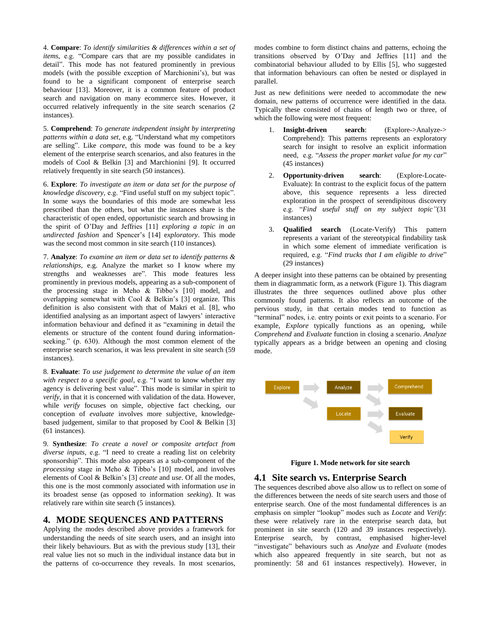4. **Compare**: *To identify similarities & differences within a set of items,* e.g. "Compare cars that are my possible candidates in detail". This mode has not featured prominently in previous models (with the possible exception of Marchionini's), but was found to be a significant component of enterprise search behaviour [13]. Moreover, it is a common feature of product search and navigation on many ecommerce sites. However, it occurred relatively infrequently in the site search scenarios (2 instances).

5. **Comprehend**: *To generate independent insight by interpreting patterns within a data set,* e.g. "Understand what my competitors are selling". Like *compare*, this mode was found to be a key element of the enterprise search scenarios, and also features in the models of Cool & Belkin [3] and Marchionini [9]. It occurred relatively frequently in site search (50 instances).

6. **Explore**: *To investigate an item or data set for the purpose of knowledge discovery,* e.g. "Find useful stuff on my subject topic". In some ways the boundaries of this mode are somewhat less prescribed than the others, but what the instances share is the characteristic of open ended, opportunistic search and browsing in the spirit of O'Day and Jeffries [11] *exploring a topic in an undirected fashion* and Spencer's [14] e*xploratory*. This mode was the second most common in site search (110 instances).

7. **Analyze**: *To examine an item or data set to identify patterns & relationships,* e.g. Analyze the market so I know where my strengths and weaknesses are". This mode features less prominently in previous models, appearing as a sub-component of the processing stage in Meho & Tibbo's [10] model, and overlapping somewhat with Cool & Belkin's [3] organize. This definition is also consistent with that of Makri et al. [8], who identified analysing as an important aspect of lawyers' interactive information behaviour and defined it as "examining in detail the elements or structure of the content found during informationseeking." (p. 630). Although the most common element of the enterprise search scenarios, it was less prevalent in site search (59 instances).

8. **Evaluate**: *To use judgement to determine the value of an item with respect to a specific goal,* e.g. "I want to know whether my agency is delivering best value". This mode is similar in spirit to *verify*, in that it is concerned with validation of the data. However, while *verify* focuses on simple, objective fact checking, our conception of *evaluate* involves more subjective, knowledgebased judgement, similar to that proposed by Cool & Belkin [3] (61 instances).

9. **Synthesize**: *To create a novel or composite artefact from diverse inputs,* e.g. "I need to create a reading list on celebrity sponsorship". This mode also appears as a sub-component of the *processing* stage in Meho & Tibbo's [10] model, and involves elements of Cool & Belkin's [3] *create* and *use*. Of all the modes, this one is the most commonly associated with information *use* in its broadest sense (as opposed to information *seeking*). It was relatively rare within site search (5 instances).

#### **4. MODE SEQUENCES AND PATTERNS**

Applying the modes described above provides a framework for understanding the needs of site search users, and an insight into their likely behaviours. But as with the previous study [13], their real value lies not so much in the individual instance data but in the patterns of co-occurrence they reveals. In most scenarios,

modes combine to form distinct chains and patterns, echoing the transitions observed by O'Day and Jeffries [11] and the combinatorial behaviour alluded to by Ellis [5], who suggested that information behaviours can often be nested or displayed in parallel.

Just as new definitions were needed to accommodate the new domain, new patterns of occurrence were identified in the data. Typically these consisted of chains of length two or three, of which the following were most frequent:

- 1. **Insight-driven search**: (Explore->Analyze-> Comprehend): This patterns represents an exploratory search for insight to resolve an explicit information need, e.g. "*Assess the proper market value for my car*" (45 instances)
- 2. **Opportunity-driven search**: (Explore-Locate-Evaluate): In contrast to the explicit focus of the pattern above, this sequence represents a less directed exploration in the prospect of serendipitous discovery e.g. "*Find useful stuff on my subject topic"*(31 instances)
- 3. **Qualified search** (Locate-Verify) This pattern represents a variant of the stereotypical findability task in which some element of immediate verification is required, e.g. "*Find trucks that I am eligible to drive*" (29 instances)

A deeper insight into these patterns can be obtained by presenting them in diagrammatic form, as a network (Figure 1). This diagram illustrates the three sequences outlined above plus other commonly found patterns. It also reflects an outcome of the pervious study, in that certain modes tend to function as "terminal" nodes, i.e. entry points or exit points to a scenario. For example, *Explore* typically functions as an opening, while *Comprehend* and *Evaluate* function in closing a scenario. *Analyze* typically appears as a bridge between an opening and closing mode.



**Figure 1. Mode network for site search**

#### **4.1 Site search vs. Enterprise Search**

The sequences described above also allow us to reflect on some of the differences between the needs of site search users and those of enterprise search. One of the most fundamental differences is an emphasis on simpler "lookup" modes such as *Locate* and *Verify*: these were relatively rare in the enterprise search data, but prominent in site search (120 and 39 instances respectively). Enterprise search, by contrast, emphasised higher-level "investigate" behaviours such as *Analyze* and *Evaluate* (modes which also appeared frequently in site search, but not as prominently: 58 and 61 instances respectively). However, in